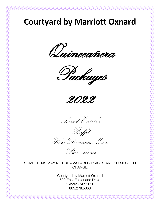# **Courtyard by Marriott Oxnard**

Duinceañera









Hors D'oeuvres Menu

Bar Menu

#### SOME ITEMS MAY NOT BE AVAILABLE/ PRICES ARE SUBJECT TO **CHANGE**

Courtyard by Marriott Oxnard 600 East Esplanade Drive Oxnard CA 93036 805.278.5068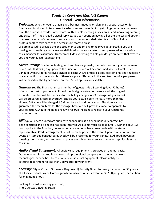#### *Events by Courtyard Marriott Oxnard* General Event Information

**Welcome:** Whether you're organizing a business meeting or planning a special occasion for friends and family, no hotel makes it easier or more convenient to get things done on your terms than the Courtyard by Marriott Oxnard. With flexible meeting spaces, fresh and innovating catering, and state – of – the art audio visual services, you can count on having all of the choices and options to make the most of your event. You can also count on our dedicated team of hospitality professionals to take care of the details from start to finish.

We are pleased to provide the enclosed menus and pricing to help you get started. If you are looking for something special we are delighted to create a custom item, please ask our catering sales manager for assistance. Our team will do everything to help you design an event that exceeds you and your guests' expectations.

**Menu Pricing:** Due to fluctuating food and beverage costs, the Hotel does not guarantee menus prices until thirty (30) days prior to the Function. Prices will be confirmed when a Hotel issued Banquet Event Order is received signed by client. A two entrée plated selection plus one vegetarian or vegan option can be available. If there is a price difference in the entrées the price per person will be based on the higher priced entrée. Buffet options are available

*Guarantee:* The final guaranteed number of guests is due 3 working days (72 hours) prior to the start of your event. Should the final guarantee not be received, the original estimated number will be the basis for the billing charges. A 5% overage (of guarantee) will be prepared in case of overflow. Should your actual count increase more than the allowed 5%, you will be charged 1.5 times for each additional meal. The Hotel cannot guarantee the menu items for the overage, however, will provide a meal comparable to your selection. Should the need arise, we reserve the right to relocate your function(s) to another room.

**Billing:** All prices quoted are subject to change unless a signed banquet contract has been executed and a deposit has been received. All events must be paid in full 3 working days (72 hours) prior to the function, unless other arrangements have been made with a catering representative. Credit arrangements must be made prior to the event. Upon completion of your event, an itemized banquet sales check will be presented for your signature. All food, beverage, meeting room rental, and audio visual prices are subject to a service charge and applicable state sales tax.

*Audio Visual Equipment:* All audio visual equipment is provided on a rental basis. Our equipment is secured from an outside professional company with the most current technological capabilities. To reserve any audio visual equipment, please notify the catering department no less than 3 days prior to your event.

**Security:** City of Oxnard Ordinance Requires (1) Security Guard for every increment of 50 guests at all social events. We will order guards exclusively for your event, at \$32.00 per guard, per an hour for minimum 6 hours.

Looking forward to serving you soon, The Courtyard Events Team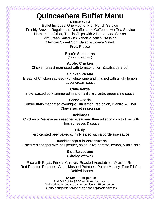# **Quinceañera Buffet Menu**

(Minimum 50 ppl) Buffet Includes: One Hour of Fruit Punch Service Freshly Brewed Regular and Decaffeinated Coffee or Hot Tea Service Homemade Crispy Tortilla Chips with 2 Homemade Salsas Mix Green Salad with Ranch & Italian Dressing Mexican Sweet Corn Salad & Jicama Salad Fruta Fresca

# **Entrée Selections**

(Choice of one or two)

# **Adobo Chicken**

Chicken breast marinated with tomato, onion, & salsa de arbol

### **Chicken Picatta**

Breast of Chicken sautéed with white wine and finished with a light lemon caper cream sauce

# **Chile Verde**

Slow roasted pork simmered in a tomatillo & cilantro green chile sauce

# **Carne Asada**

Tender tri-tip marinated overnight with lemon, red onion, cilantro, & Chef Chuy's secret seasonings

### **Enchiladas**

Chicken or Vegetarian seasoned & sautéed then rolled in corn tortillas with fresh cheeses & sauce

**Tri-Tip**

Herb crusted beef baked & thinly sliced with a bordelaise sauce

### **Huachinango a la Veracruzana**

Grilled red snapper with bell pepper, onion, olive, tomato, lemon, & mild chile

#### **Side Selections (Choice of two)**

Rice with Rajas, Frijoles Charros, Roasted Vegetables, Mexican Rice, Red Roasted Potatoes, Garlic Mashed Potatoes, Potato Medley, Rice Pilaf, or Refried Beans

#### **\$41.95 ++ per person**

Add 3rd Entrée \$3.50 additional per person Add iced tea or soda to dinner service \$1.75 per person all prices subject to service charge and applicable sales tax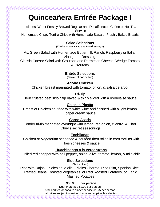# **Quinceañera Entrée Package I**

Includes: Water Freshly Brewed Regular and Decaffeinated Coffee or Hot Tea **Service** Homemade Crispy Tortilla Chips with Homemade Salsa or Freshly Baked Breads

### **Salad Selections**

**(Choice of one salad and two dressings)**

Mix Green Salad with Homemade Buttermilk Ranch, Raspberry or Italian Vinaigrette Dressing,

Classic Caesar Salad with Croutons and Parmesan Cheese, Wedge Tomato & Croutons

# **Entrée Selections**

**(Choice of one or two)**

**Adobo Chicken**

Chicken breast marinated with tomato, onion, & salsa de arbol

**Tri-Tip**

Herb crusted beef sirloin tip baked & thinly sliced with a bordelaise sauce

### **Chicken Picatta**

Breast of Chicken sautéed with white wine and finished with a light lemon caper cream sauce

### **Carne Asada**

Tender tri-tip marinated overnight with lemon, red onion, cilantro, & Chef Chuy's secret seasonings

### **Enchiladas**

Chicken or Vegetarian seasoned & sautéed then rolled in corn tortillas with fresh cheeses & sauce

### **Huachinango a la Veracruzana**

Grilled red snapper with bell pepper, onion, olive, tomato, lemon, & mild chile

### **Side Selections**

(Choice of two) Rice with Rajas, Frijoles de la olla, Frijoles Charros, Rice Pilaf, Spanish Rice, Refried Beans, Roasted Vegetables, or Red Roasted Potatoes, or Garlic Mashed Potatoes

#### **\$38.95 ++ per person**

Duet Plate add \$2.00 per person Add iced tea or soda to dinner service \$1.75 per person all prices subject to service charge and applicable sales tax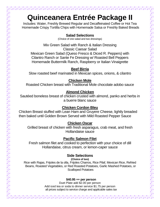# **Quinceanera Entrée Package II**

Includes: Water, Freshly Brewed Regular and Decaffeinated Coffee or Hot Tea Homemade Crispy Tortilla Chips with Homemade Salsa or Freshly Baked Breads

#### **Salad Selections**

(Choice of one salad and two dressings)

Mix Green Salad with Ranch & Italian Dressing Classic Caesar Salad Mexican Green Salad (Queso Fresco & Diced R. Peppers) with Cilantro Ranch or Sante Fe Dressing w/ Roasted Bell Peppers Homemade Buttermilk Ranch, Raspberry or Italian Vinaigrette

#### **Beef Birria**

Slow roasted beef marinated in Mexican spices, onions, & cilantro

### **Chicken Mole**

Roasted Chicken breast with Traditional Mole chocolate adobo sauce

### **Almond Chicken**

Sautéed boneless breast of chicken crusted with almond, panko and herbs in a buerre blanc sauce

### **Chicken Cordon Bleu**

Chicken Breast stuffed with Lean Ham and Gruyere Cheese, lightly breaded then baked until Golden Brown Served with Mild Roasted Pepper Sauce

### **Chicken Oscar**

Grilled breast of chicken with fresh asparagus, crab meat, and fresh Hollandaise sauce

### **Pacific Salmon Filet**

Fresh salmon filet and cooked to perfection with your choice of dill Hollandaise, citrus cream, or lemon-caper sauce

### **Side Selections**

**(Choice of two)**

Rice with Rajas, Frijoles de la olla, Frijoles Charros, Rice Pilaf, Mexican Rice, Refried Beans, Roasted Vegetables, or Red Roasted Potatoes, Garlic Mashed Potatoes, or Scalloped Potatoes

#### **\$40.95 ++ per person**

Duet Plate add \$2.00 per person Add iced tea or soda to dinner service \$1.75 per person all prices subject to service charge and applicable sales tax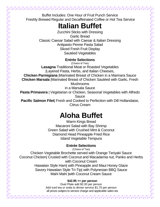Buffet Includes: One Hour of Fruit Punch Service Freshly Brewed Regular and Decaffeinated Coffee or Hot Tea Service

# **Italian Buffet**

Zucchini Sticks with Dressing Garlic Bread Classic Caesar Salad with Caesar & Italian Dressing Antipasto Penne Pasta Salad Sliced Fresh Fruit Display Sautéed Vegetables

### **Entrée Selections**

(Choice of Two) **Lasagna** Traditional Meat or Roasted Vegetables |Layered Pasta, Herbs, and Italian Cheeses, **Chicken Parmigiana** |Marinated Breast of Chicken in a Marinara Sauce **Chicken Marsala** |Marinated Breast of Chicken Sautéed with Garlic, Fresh Mushrooms

in a Marsala Sauce

**Pasta Primavera** | Vegetarian or Chicken, Seasonal Vegetables with Alfredo Sauce

**Pacific Salmon Filet**| Fresh and Cooked to Perfection with Dill Hollandaise, Citrus Cream

# **Aloha Buffet**

Warm Kings Bread Macaroni Salad with Bay Shrimp Green Salad with Crushed Mint & Coconut Diamond Head Pineapple Fried Rice Island Vegetable Tempura

# **Entrée Selections**

(Choice of Two) Chicken Vegetable Brochette served with Orange Teriyaki Sauce Coconut Chicken| Crusted with Coconut and Macadamia nut, Panko and Herbs with Coconut Cream Hawaiian Style Ham| with Pineapple and Maui Honey Glaze Savory Hawaiian Style Tri-Tip| with Polynesian BBQ Sauce Mahi Mahi |with Coconut Cream Sauce

#### **\$42.95 ++ per person**

Duet Plate add \$2.00 per person Add iced tea or soda to dinner service \$1.75 per person all prices subject to service charge and applicable sales tax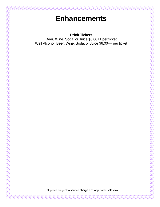# **Enhancements**

# **Drink Tickets**

Beer, Wine, Soda, or Juice \$5.00++ per ticket Well Alcohol, Beer, Wine, Soda, or Juice \$6.00++ per ticket

all prices subject to service charge and applicable sales tax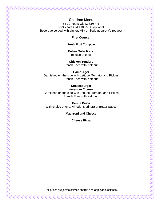#### **Children Menu**

(4-10 Years Old \$18.95++) (0-3 Years Old \$10.95++) optional Beverage served with dinner: Milk or Soda at parent's request

**First Course:**

Fresh Fruit Compote

**Entrée Selections:** (choice of one)

**Chicken Tenders** French Fries with Ketchup

**Hamburger** Garnished on the side with Lettuce, Tomato, and Pickles French Fries with Ketchup

#### **Cheeseburger**

American Cheese Garnished on the side with Lettuce, Tomato, and Pickles French Fries with Ketchup

**Penne Pasta** With choice of one: Alfredo, Marinara or Butter Sauce

**Macaroni and Cheese**

**Cheese Pizza**

all prices subject to service charge and applicable sales tax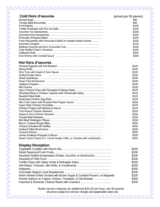| <b>Cold Hors d'oeuvres</b>                                                | (priced per 50 pieces)<br>\$95 |
|---------------------------------------------------------------------------|--------------------------------|
|                                                                           | \$95                           |
|                                                                           | \$100                          |
|                                                                           | \$100                          |
|                                                                           | \$100                          |
|                                                                           | \$100                          |
|                                                                           | \$100                          |
| Fresh Mozzarella with Prosciutto & Basil on roasted wheat cracker         | \$100                          |
|                                                                           | \$125                          |
|                                                                           | \$150                          |
|                                                                           | \$150                          |
|                                                                           | \$200                          |
|                                                                           | \$200                          |
| <b>Hot Hors d'oeuvres</b>                                                 |                                |
|                                                                           | \$100                          |
|                                                                           | \$100                          |
|                                                                           | \$100                          |
| <b>Stuffed Potato Skins</b>                                               | \$100                          |
|                                                                           | \$100                          |
|                                                                           | \$100                          |
|                                                                           | \$100                          |
|                                                                           | \$100                          |
| Spicy Chicken Pops with Pineapple & Mango Salsa                           | \$125                          |
| Shredded Beef or Chicken Taquitos with Homemade Salsa                     | \$125                          |
|                                                                           | \$125                          |
|                                                                           | \$125                          |
| Mini Crab Cakes with Roasted Red Pepper Sauce                             | \$150<br>\$125                 |
|                                                                           | \$125                          |
|                                                                           | \$150                          |
|                                                                           | \$150                          |
|                                                                           | \$150                          |
|                                                                           | \$150                          |
|                                                                           | \$200                          |
|                                                                           | \$200                          |
|                                                                           | \$200                          |
| Coconut Shrimp.                                                           | \$200                          |
|                                                                           | \$200                          |
| Street Tacos Choice of 1: Carne Asada, Pollo, or Carnitas with condiments | \$250                          |
| <b>Display Reception</b>                                                  |                                |
|                                                                           | \$200                          |
|                                                                           | \$200                          |
| Assorted Stuffed Empanadas (Potato, Zucchini, or Mushroom)                | \$200                          |
|                                                                           | \$200                          |
| Tortilla Chips with Salsa Verde & Molcajete Salsa                         | \$200                          |
|                                                                           | \$250                          |
|                                                                           |                                |
|                                                                           | \$250                          |
|                                                                           | \$200                          |
| Warm Wheel of Brie Dusted with Brown Sugar & Candied Pecans, w/ Baguette  | \$225                          |
| Smoke Salmon w/ Capers, Onions, Tomatoes, & Deli Breads                   | \$300                          |
| Imported & Domestic Cheese Board with Crackers                            | \$250                          |

all prices subject to service charge and applicable sales tax

**ALICE**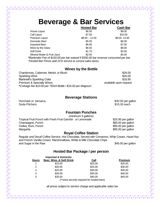# **Beverage & Bar Services**

|                                                                                                | <b>Hosted Bar</b> | <b>Cash Bar</b> |
|------------------------------------------------------------------------------------------------|-------------------|-----------------|
| House Liquor                                                                                   | \$6.50            | \$9.00          |
| Call Liquor                                                                                    | \$7.00            | \$10.00         |
| Premium Liquor                                                                                 | $$8.00 - 12.00$   | \$9.00 - 14.00  |
| Domestic Beer                                                                                  | \$5.00            | \$6.00          |
| <b>Imported Beer</b>                                                                           | \$6.00            | \$7.00          |
| Wine by the Glass                                                                              | \$6.50            | \$9.00          |
| Soft Drink                                                                                     | \$1.75            | \$3.00          |
| Mineral Water & Fruit Juice                                                                    | \$2.50            | \$4.00          |
| *Bartender Fee of \$150.00 per bar waived if \$350.00 bar revenue consumed per bar<br>$\cdots$ |                   |                 |

*\*Hosted Bar Prices add 21% service & current sales taxes.*

#### **Wines by the Bottle**

| Chardonnay, Cabernet, Merlot, or Blush                     | \$26.00                |
|------------------------------------------------------------|------------------------|
| Sparkling Wine                                             | \$26.00                |
| Martinelli's Sparkling Cider                               | \$16.95                |
| <b>Premium &amp; Specialty Wines</b>                       | available upon request |
| *Corkage fee \$10.00 per 750ml Bottle / \$16.00 per Magnum |                        |

#### **Beverage Stations**

Horchata or Jamaica, the state of the state of the state of the state of the state of the state of the state of the state of the state of the state of the state of the state of the state of the state of the state of the st Soda Pitchers **\$15.00 each** \$15.00 each \$15.00 each \$15.00 each \$15.00 each \$15.00 each \$15.00 each \$15.00 each \$15.00 each \$15.00 each \$15.00 each \$15.00 each \$15.00 each \$15.00 each \$15.00 each \$15.00 each \$15.00 each \$1

#### **Fountain Punches**

| (minimum 5 gallons)                                       |                    |
|-----------------------------------------------------------|--------------------|
| Tropical Fruit Punch with Fresh Fruit Garnish or Lemonade | \$25.95 per gallon |
| Champagne, Punch                                          | \$80.00 per gallon |
| Vodka, Rum, Punch                                         | \$95.00 per gallon |
| Margarita                                                 | \$95.00 per gallon |
| <b>Royal Coffee Station</b>                               |                    |

Regular and Decaf Coffee Service, Hot Chocolate, Served with Cinnamon, Whip Cream, Hazel Nut and French Vanilla Cream, Marshmallows, White & Milk Chocolate Chips and Sugar in the Raw  $$45.00$  per gallon

#### **Hosted Bar Package / per person**

|              | <b>Imported &amp; Domestic</b> |                                             |                |
|--------------|--------------------------------|---------------------------------------------|----------------|
| <b>Hours</b> | Beer, Wine, & Soft Drink       | Call                                        | <b>Premium</b> |
| 1            | \$15.00                        | \$20.00                                     | \$25.00        |
| 2            | \$20.00                        | \$25.00                                     | \$30.00        |
| 3            | \$25.00                        | \$30.00                                     | \$35.00        |
| 4            | \$30.00                        | \$35.00                                     | \$40.00        |
| 5            | \$35.00                        | \$40.00                                     | \$45.00        |
|              |                                | (**extra security required for hosted bars) |                |

all prices subject to service charge and applicable sales tax